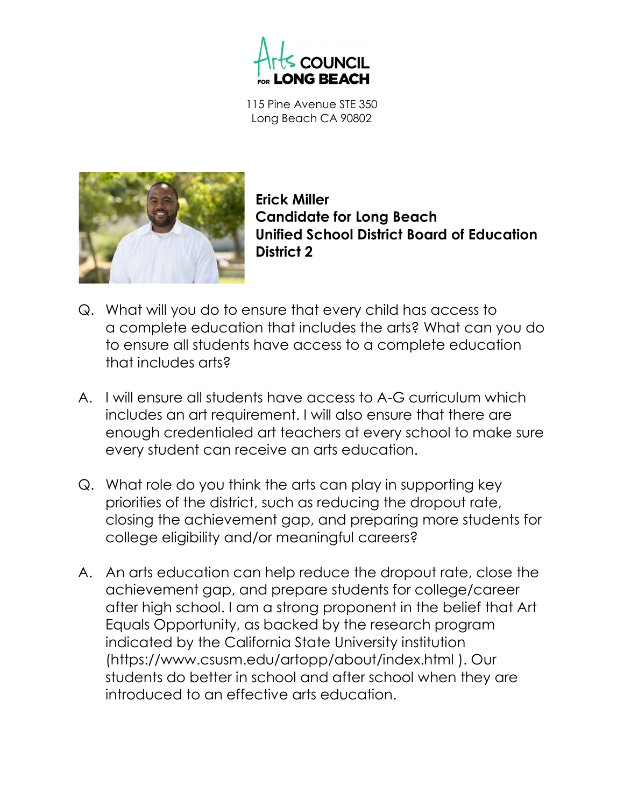

115 Pine Avenue STE 350 Long Beach CA 90802



Erick Miller Candidate for Long Beach Unified School District Board of Education District 2

- Q. What will you do to ensure that every child has access to a complete education that includes the arts? What can you do to ensure all students have access to a complete education that includes arts?
- A. I will ensure all students have access to A-G curriculum which includes an art requirement. I will also ensure that there are enough credentialed art teachers at every school to make sure every student can receive an arts education.
- Q. What role do you think the arts can play in supporting key priorities of the district, such as reducing the dropout rate, closing the achievement gap, and preparing more students for college eligibility and/or meaningful careers?
- A. An arts education can help reduce the dropout rate, close the achievement gap, and prepare students for college/career after high school. I am a strong proponent in the belief that Art Equals Opportunity, as backed by the research program indicated by the California State University institution (https://www.csusm.edu/artopp/about/index.html ). Our students do better in school and after school when they are introduced to an effective arts education.